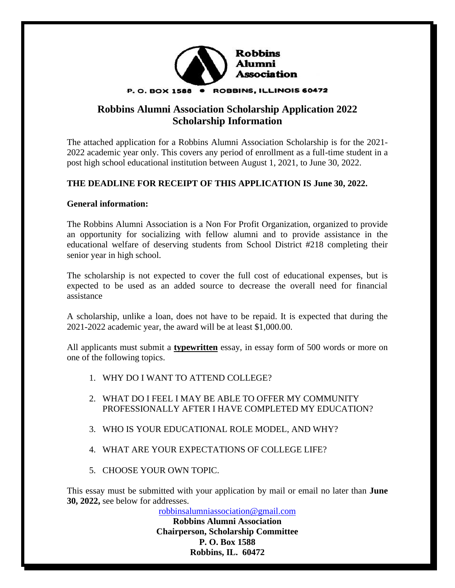

# **Robbins Alumni Association Scholarship Application 2022 Scholarship Information**

The attached application for a Robbins Alumni Association Scholarship is for the 2021- 2022 academic year only. This covers any period of enrollment as a full-time student in a post high school educational institution between August 1, 2021, to June 30, 2022.

#### **THE DEADLINE FOR RECEIPT OF THIS APPLICATION IS June 30, 2022.**

#### **General information:**

The Robbins Alumni Association is a Non For Profit Organization, organized to provide an opportunity for socializing with fellow alumni and to provide assistance in the educational welfare of deserving students from School District #218 completing their senior year in high school.

The scholarship is not expected to cover the full cost of educational expenses, but is expected to be used as an added source to decrease the overall need for financial assistance

A scholarship, unlike a loan, does not have to be repaid. It is expected that during the 2021-2022 academic year, the award will be at least \$1,000.00.

All applicants must submit a **typewritten** essay, in essay form of 500 words or more on one of the following topics.

- 1. WHY DO I WANT TO ATTEND COLLEGE?
- 2. WHAT DO I FEEL I MAY BE ABLE TO OFFER MY COMMUNITY PROFESSIONALLY AFTER I HAVE COMPLETED MY EDUCATION?
- 3. WHO IS YOUR EDUCATIONAL ROLE MODEL, AND WHY?
- 4. WHAT ARE YOUR EXPECTATIONS OF COLLEGE LIFE?
- 5. CHOOSE YOUR OWN TOPIC.

This essay must be submitted with your application by mail or email no later than **June 30, 2022,** see below for addresses.

[robbinsalumniassociation@gmail.com](mailto:robbinsalumniassociation@gmail.com)

**Robbins Alumni Association Chairperson, Scholarship Committee P. O. Box 1588 Robbins, IL. 60472**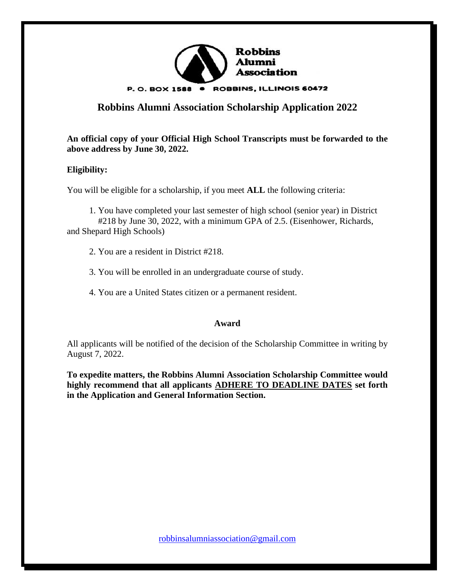

# **Robbins Alumni Association Scholarship Application 2022**

**An official copy of your Official High School Transcripts must be forwarded to the above address by June 30, 2022.**

## **Eligibility:**

You will be eligible for a scholarship, if you meet **ALL** the following criteria:

 1. You have completed your last semester of high school (senior year) in District #218 by June 30, 2022, with a minimum GPA of 2.5. (Eisenhower, Richards, and Shepard High Schools)

- 2. You are a resident in District #218.
- 3. You will be enrolled in an undergraduate course of study.
- 4. You are a United States citizen or a permanent resident.

#### **Award**

All applicants will be notified of the decision of the Scholarship Committee in writing by August 7, 2022.

**To expedite matters, the Robbins Alumni Association Scholarship Committee would highly recommend that all applicants ADHERE TO DEADLINE DATES set forth in the Application and General Information Section.**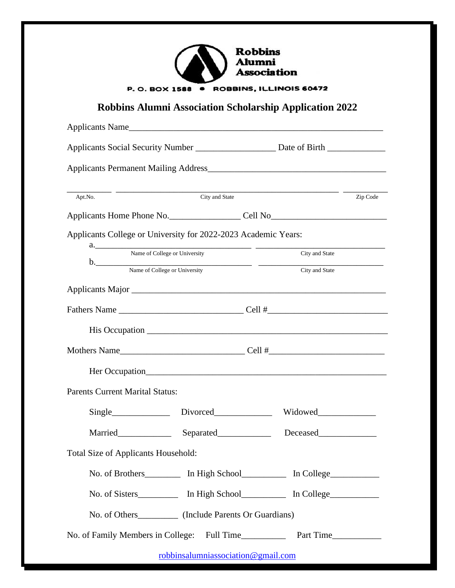| <b>Robbins</b><br><b>Alumni</b><br><b>Association</b> |
|-------------------------------------------------------|
| ROBBINS, ILLINOIS 60472<br>P.O. BOX 1588 .            |
|                                                       |

# **Robbins Alumni Association Scholarship Application 2022**

| Applicants Name                                                                                                                                                                                                                |                                           |                                                                                  |          |  |
|--------------------------------------------------------------------------------------------------------------------------------------------------------------------------------------------------------------------------------|-------------------------------------------|----------------------------------------------------------------------------------|----------|--|
|                                                                                                                                                                                                                                |                                           |                                                                                  |          |  |
|                                                                                                                                                                                                                                |                                           |                                                                                  |          |  |
|                                                                                                                                                                                                                                |                                           |                                                                                  |          |  |
| Apt.No.                                                                                                                                                                                                                        | $\overline{\phantom{a}}$ . City and State |                                                                                  | Zip Code |  |
|                                                                                                                                                                                                                                |                                           |                                                                                  |          |  |
| Applicants College or University for 2022-2023 Academic Years:                                                                                                                                                                 |                                           |                                                                                  |          |  |
|                                                                                                                                                                                                                                | a. Name of College or University          |                                                                                  |          |  |
| b. Name of College or University City and State                                                                                                                                                                                |                                           |                                                                                  |          |  |
|                                                                                                                                                                                                                                |                                           |                                                                                  |          |  |
|                                                                                                                                                                                                                                |                                           |                                                                                  |          |  |
|                                                                                                                                                                                                                                |                                           |                                                                                  |          |  |
|                                                                                                                                                                                                                                |                                           |                                                                                  |          |  |
|                                                                                                                                                                                                                                |                                           |                                                                                  |          |  |
| <b>Parents Current Marital Status:</b>                                                                                                                                                                                         |                                           |                                                                                  |          |  |
| Single Divorced                                                                                                                                                                                                                |                                           |                                                                                  |          |  |
| Married Electron Separated Electron Separated Separated Separated Separated Separated Separated Separated Separated Separated Separated Separated Separated Separated Separated Separated Separated Separated Separated Separa |                                           | Deceased                                                                         |          |  |
| <b>Total Size of Applicants Household:</b>                                                                                                                                                                                     |                                           |                                                                                  |          |  |
|                                                                                                                                                                                                                                |                                           | No. of Brothers___________ In High School______________ In College_____________  |          |  |
|                                                                                                                                                                                                                                |                                           | No. of Sisters_____________ In High School______________ In College_____________ |          |  |
| No. of Others____________ (Include Parents Or Guardians)                                                                                                                                                                       |                                           |                                                                                  |          |  |
|                                                                                                                                                                                                                                |                                           |                                                                                  |          |  |
|                                                                                                                                                                                                                                | robbinsalumniassociation@gmail.com        |                                                                                  |          |  |